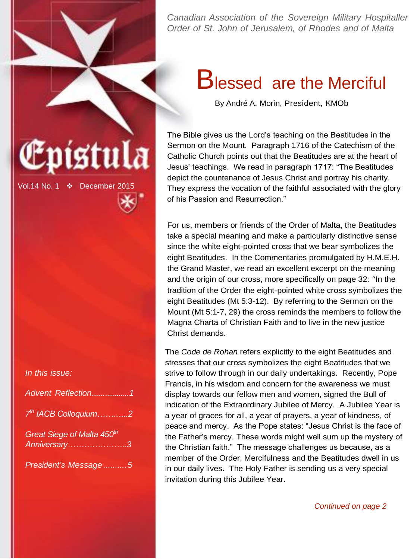

### **Blessed are the Merciful**

By André A. Morin, President, KMOb

The Bible gives us the Lord's teaching on the Beatitudes in the Sermon on the Mount. Paragraph 1716 of the Catechism of the Catholic Church points out that the Beatitudes are at the heart of Jesus' teachings. We read in paragraph 1717: "The Beatitudes depict the countenance of Jesus Christ and portray his charity. They express the vocation of the faithful associated with the glory of his Passion and Resurrection."

For us, members or friends of the Order of Malta, the Beatitudes take a special meaning and make a particularly distinctive sense since the white eight-pointed cross that we bear symbolizes the eight Beatitudes. In the Commentaries promulgated by H.M.E.H. the Grand Master, we read an excellent excerpt on the meaning and the origin of our cross, more specifically on page 32: "In the tradition of the Order the eight-pointed white cross symbolizes the eight Beatitudes (Mt 5:3-12). By referring to the Sermon on the Mount (Mt 5:1-7, 29) the cross reminds the members to follow the Magna Charta of Christian Faith and to live in the new justice Christ demands.

The *Code de Rohan* refers explicitly to the eight Beatitudes and stresses that our cross symbolizes the eight Beatitudes that we strive to follow through in our daily undertakings. Recently, Pope Francis, in his wisdom and concern for the awareness we must display towards our fellow men and women, signed the Bull of indication of the Extraordinary Jubilee of Mercy. A Jubilee Year is a year of graces for all, a year of prayers, a year of kindness, of peace and mercy. As the Pope states: "Jesus Christ is the face of the Father's mercy. These words might well sum up the mystery of the Christian faith." The message challenges us because, as a member of the Order, Mercifulness and the Beatitudes dwell in us in our daily lives. The Holy Father is sending us a very special invitation during this Jubilee Year.

*Continued on page 2*

# istu

Vol.14 No. 1 December 2015

#### *In this issue:*

| Advent Reflection1                         |  |
|--------------------------------------------|--|
| 7 <sup>th</sup> IACB Colloquium2           |  |
| Great Siege of Malta 450th<br>Anniversary3 |  |
| President's Message5                       |  |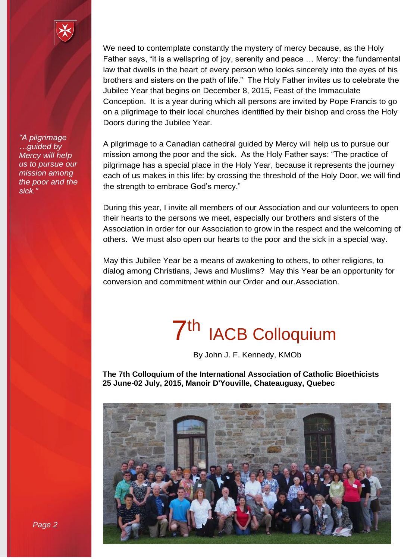We need to contemplate constantly the mystery of mercy because, as the Holy Father says, "it is a wellspring of joy, serenity and peace … Mercy: the fundamental law that dwells in the heart of every person who looks sincerely into the eyes of his brothers and sisters on the path of life." The Holy Father invites us to celebrate the Jubilee Year that begins on December 8, 2015, Feast of the Immaculate Conception. It is a year during which all persons are invited by Pope Francis to go on a pilgrimage to their local churches identified by their bishop and cross the Holy Doors during the Jubilee Year.

A pilgrimage to a Canadian cathedral guided by Mercy will help us to pursue our mission among the poor and the sick. As the Holy Father says: "The practice of pilgrimage has a special place in the Holy Year, because it represents the journey each of us makes in this life: by crossing the threshold of the Holy Door, we will find the strength to embrace God's mercy."

During this year, I invite all members of our Association and our volunteers to open their hearts to the persons we meet, especially our brothers and sisters of the Association in order for our Association to grow in the respect and the welcoming of others. We must also open our hearts to the poor and the sick in a special way.

May this Jubilee Year be a means of awakening to others, to other religions, to dialog among Christians, Jews and Muslims? May this Year be an opportunity for conversion and commitment within our Order and our.Association.

## 7<sup>th</sup> IACB Colloquium

By John J. F. Kennedy, KMOb

**The 7th Colloquium of the International Association of Catholic Bioethicists 25 June-02 July, 2015, Manoir D'Youville, Chateauguay, Quebec**



*"A pilgrimage …guided by Mercy will help us to pursue our mission among the poor and the sick."*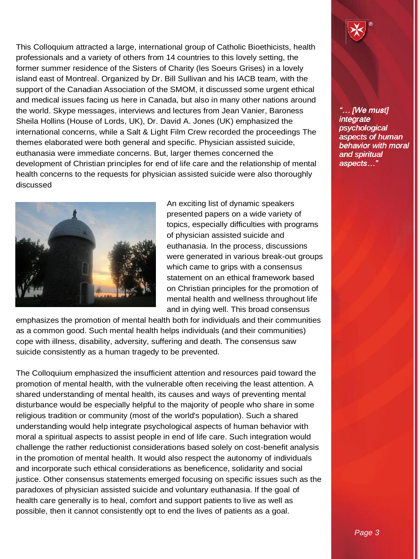This Colloquium attracted a large, international group of Catholic Bioethicists, health professionals and a variety of others from 14 countries to this lovely setting, the former summer residence of the Sisters of Charity (les Soeurs Grises) in a lovely island east of Montreal. Organized by Dr. Bill Sullivan and his IACB team, with the support of the Canadian Association of the SMOM, it discussed some urgent ethical and medical issues facing us here in Canada, but also in many other nations around the world. Skype messages, interviews and lectures from Jean Vanier, Baroness Sheila Hollins (House of Lords, UK), Dr. David A. Jones (UK) emphasized the international concerns, while a Salt & Light Film Crew recorded the proceedings The themes elaborated were both general and specific. Physician assisted suicide, euthanasia were immediate concerns. But, larger themes concerned the development of Christian principles for end of life care and the relationship of mental health concerns to the requests for physician assisted suicide were also thoroughly discussed



An exciting list of dynamic speakers presented papers on a wide variety of topics, especially difficulties with programs of physician assisted suicide and euthanasia. In the process, discussions were generated in various break-out groups which came to grips with a consensus statement on an ethical framework based on Christian principles for the promotion of mental health and wellness throughout life and in dying well. This broad consensus

emphasizes the promotion of mental health both for individuals and their communities as a common good. Such mental health helps individuals (and their communities) cope with illness, disability, adversity, suffering and death. The consensus saw suicide consistently as a human tragedy to be prevented.

The Colloquium emphasized the insufficient attention and resources paid toward the promotion of mental health, with the vulnerable often receiving the least attention. A shared understanding of mental health, its causes and ways of preventing mental disturbance would be especially helpful to the majority of people who share in some religious tradition or community (most of the world's population). Such a shared understanding would help integrate psychological aspects of human behavior with moral a spiritual aspects to assist people in end of life care. Such integration would challenge the rather reductionist considerations based solely on cost-benefit analysis in the promotion of mental health. It would also respect the autonomy of individuals and incorporate such ethical considerations as beneficence, solidarity and social justice. Other consensus statements emerged focusing on specific issues such as the paradoxes of physician assisted suicide and voluntary euthanasia. If the goal of health care generally is to heal, comfort and support patients to live as well as possible, then it cannot consistently opt to end the lives of patients as a goal.



*"… [We must] "… [We must] integrate integrate psychological psychological aspects of human aspects human behavior with moral behavior with moral and aspects…"and spiritual aspects…"*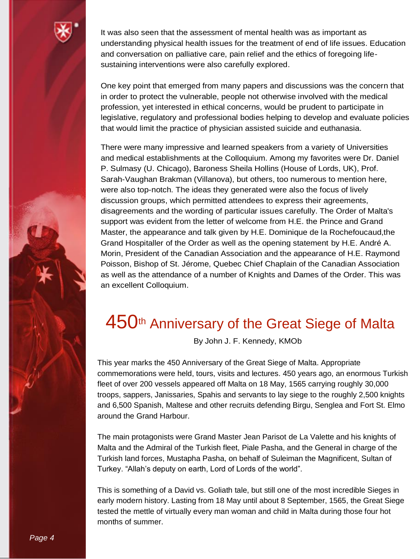

It was also seen that the assessment of mental health was as important as understanding physical health issues for the treatment of end of life issues. Education and conversation on palliative care, pain relief and the ethics of foregoing lifesustaining interventions were also carefully explored.

One key point that emerged from many papers and discussions was the concern that in order to protect the vulnerable, people not otherwise involved with the medical profession, yet interested in ethical concerns, would be prudent to participate in legislative, regulatory and professional bodies helping to develop and evaluate policies that would limit the practice of physician assisted suicide and euthanasia.

There were many impressive and learned speakers from a variety of Universities and medical establishments at the Colloquium. Among my favorites were Dr. Daniel P. Sulmasy (U. Chicago), Baroness Sheila Hollins (House of Lords, UK), Prof. Sarah-Vaughan Brakman (Villanova), but others, too numerous to mention here, were also top-notch. The ideas they generated were also the focus of lively discussion groups, which permitted attendees to express their agreements, disagreements and the wording of particular issues carefully. The Order of Malta's support was evident from the letter of welcome from H.E. the Prince and Grand Master, the appearance and talk given by H.E. Dominique de la Rochefoucaud,the Grand Hospitaller of the Order as well as the opening statement by H.E. André A. Morin, President of the Canadian Association and the appearance of H.E. Raymond Poisson, Bishop of St. Jérome, Quebec Chief Chaplain of the Canadian Association as well as the attendance of a number of Knights and Dames of the Order. This was an excellent Colloquium.

#### 450<sup>th</sup> Anniversary of the Great Siege of Malta

By John J. F. Kennedy, KMOb

This year marks the 450 Anniversary of the Great Siege of Malta. Appropriate commemorations were held, tours, visits and lectures. 450 years ago, an enormous Turkish fleet of over 200 vessels appeared off Malta on 18 May, 1565 carrying roughly 30,000 troops, sappers, Janissaries, Spahis and servants to lay siege to the roughly 2,500 knights and 6,500 Spanish, Maltese and other recruits defending Birgu, Senglea and Fort St. Elmo around the Grand Harbour.

The main protagonists were Grand Master Jean Parisot de La Valette and his knights of Malta and the Admiral of the Turkish fleet, Piale Pasha, and the General in charge of the Turkish land forces, Mustapha Pasha, on behalf of Suleiman the Magnificent, Sultan of Turkey. "Allah's deputy on earth, Lord of Lords of the world".

This is something of a David vs. Goliath tale, but still one of the most incredible Sieges in early modern history. Lasting from 18 May until about 8 September, 1565, the Great Siege tested the mettle of virtually every man woman and child in Malta during those four hot months of summer.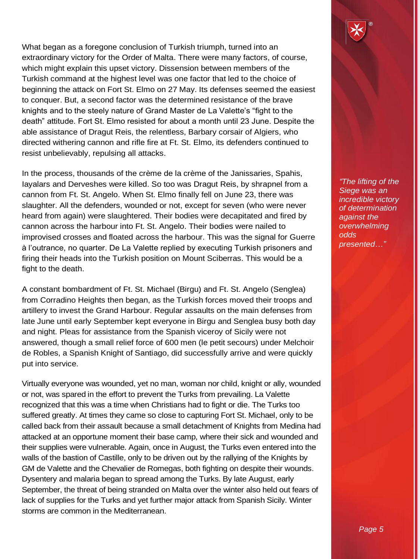What began as a foregone conclusion of Turkish triumph, turned into an extraordinary victory for the Order of Malta. There were many factors, of course, which might explain this upset victory. Dissension between members of the Turkish command at the highest level was one factor that led to the choice of beginning the attack on Fort St. Elmo on 27 May. Its defenses seemed the easiest to conquer. But, a second factor was the determined resistance of the brave knights and to the steely nature of Grand Master de La Valette's "fight to the death" attitude. Fort St. Elmo resisted for about a month until 23 June. Despite the able assistance of Dragut Reis, the relentless, Barbary corsair of Algiers, who directed withering cannon and rifle fire at Ft. St. Elmo, its defenders continued to resist unbelievably, repulsing all attacks.

In the process, thousands of the crème de la crème of the Janissaries, Spahis, Iayalars and Derveshes were killed. So too was Dragut Reis, by shrapnel from a cannon from Ft. St. Angelo. When St. Elmo finally fell on June 23, there was slaughter. All the defenders, wounded or not, except for seven (who were never heard from again) were slaughtered. Their bodies were decapitated and fired by cannon across the harbour into Ft. St. Angelo. Their bodies were nailed to improvised crosses and floated across the harbour. This was the signal for Guerre à l'outrance, no quarter. De La Valette replied by executing Turkish prisoners and firing their heads into the Turkish position on Mount Sciberras. This would be a fight to the death.

A constant bombardment of Ft. St. Michael (Birgu) and Ft. St. Angelo (Senglea) from Corradino Heights then began, as the Turkish forces moved their troops and artillery to invest the Grand Harbour. Regular assaults on the main defenses from late June until early September kept everyone in Birgu and Senglea busy both day and night. Pleas for assistance from the Spanish viceroy of Sicily were not answered, though a small relief force of 600 men (le petit secours) under Melchoir de Robles, a Spanish Knight of Santiago, did successfully arrive and were quickly put into service.

Virtually everyone was wounded, yet no man, woman nor child, knight or ally, wounded or not, was spared in the effort to prevent the Turks from prevailing. La Valette recognized that this was a time when Christians had to fight or die. The Turks too suffered greatly. At times they came so close to capturing Fort St. Michael, only to be called back from their assault because a small detachment of Knights from Medina had attacked at an opportune moment their base camp, where their sick and wounded and their supplies were vulnerable. Again, once in August, the Turks even entered into the walls of the bastion of Castille, only to be driven out by the rallying of the Knights by GM de Valette and the Chevalier de Romegas, both fighting on despite their wounds. Dysentery and malaria began to spread among the Turks. By late August, early September, the threat of being stranded on Malta over the winter also held out fears of lack of supplies for the Turks and yet further major attack from Spanish Sicily. Winter storms are common in the Mediterranean.

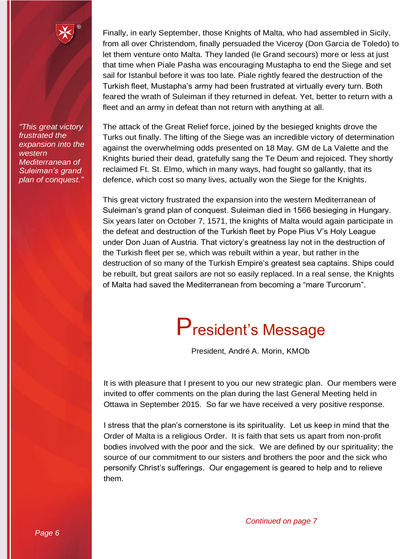*"This great victory frustrated the expansion into the western Mediterranean of Suleiman's grand plan of conquest."*

Finally, in early September, those Knights of Malta, who had assembled in Sicily, from all over Christendom, finally persuaded the Viceroy (Don Garcia de Toledo) to let them venture onto Malta. They landed (le Grand secours) more or less at just that time when Piale Pasha was encouraging Mustapha to end the Siege and set sail for Istanbul before it was too late. Piale rightly feared the destruction of the Turkish fleet, Mustapha's army had been frustrated at virtually every turn. Both feared the wrath of Suleiman if they returned in defeat. Yet, better to return with a fleet and an army in defeat than not return with anything at all.

The attack of the Great Relief force, joined by the besieged knights drove the Turks out finally. The lifting of the Siege was an incredible victory of determination against the overwhelming odds presented on 18 May. GM de La Valette and the Knights buried their dead, gratefully sang the Te Deum and rejoiced. They shortly reclaimed Ft. St. Elmo, which in many ways, had fought so gallantly, that its defence, which cost so many lives, actually won the Siege for the Knights.

This great victory frustrated the expansion into the western Mediterranean of Suleiman's grand plan of conquest. Suleiman died in 1566 besieging in Hungary. Six years later on October 7, 1571, the knights of Malta would again participate in the defeat and destruction of the Turkish fleet by Pope Pius V's Holy League under Don Juan of Austria. That victory's greatness lay not in the destruction of the Turkish fleet per se, which was rebuilt within a year, but rather in the destruction of so many of the Turkish Empire's greatest sea captains. Ships could be rebuilt, but great sailors are not so easily replaced. In a real sense, the Knights of Malta had saved the Mediterranean from becoming a "mare Turcorum".

### President's Message

President, André A. Morin, KMOb

It is with pleasure that I present to you our new strategic plan. Our members were invited to offer comments on the plan during the last General Meeting held in Ottawa in September 2015. So far we have received a very positive response.

I stress that the plan's cornerstone is its spirituality. Let us keep in mind that the Order of Malta is a religious Order. It is faith that sets us apart from non-profit bodies involved with the poor and the sick. We are defined by our spirituality; the source of our commitment to our sisters and brothers the poor and the sick who personify Christ's sufferings. Our engagement is geared to help and to relieve them.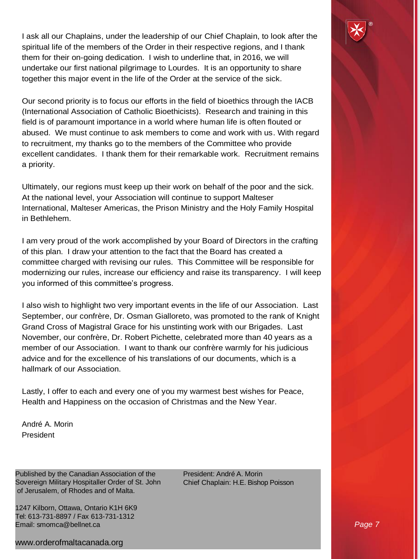I ask all our Chaplains, under the leadership of our Chief Chaplain, to look after the spiritual life of the members of the Order in their respective regions, and I thank them for their on-going dedication. I wish to underline that, in 2016, we will undertake our first national pilgrimage to Lourdes. It is an opportunity to share together this major event in the life of the Order at the service of the sick.

Our second priority is to focus our efforts in the field of bioethics through the IACB (International Association of Catholic Bioethicists). Research and training in this field is of paramount importance in a world where human life is often flouted or abused. We must continue to ask members to come and work with us. With regard to recruitment, my thanks go to the members of the Committee who provide excellent candidates. I thank them for their remarkable work. Recruitment remains a priority.

Ultimately, our regions must keep up their work on behalf of the poor and the sick. At the national level, your Association will continue to support Malteser International, Malteser Americas, the Prison Ministry and the Holy Family Hospital in Bethlehem.

I am very proud of the work accomplished by your Board of Directors in the crafting of this plan. I draw your attention to the fact that the Board has created a committee charged with revising our rules. This Committee will be responsible for modernizing our rules, increase our efficiency and raise its transparency. I will keep you informed of this committee's progress.

I also wish to highlight two very important events in the life of our Association. Last September, our confrère, Dr. Osman Gialloreto, was promoted to the rank of Knight Grand Cross of Magistral Grace for his unstinting work with our Brigades. Last November, our confrère, Dr. Robert Pichette, celebrated more than 40 years as a member of our Association. I want to thank our confrère warmly for his judicious advice and for the excellence of his translations of our documents, which is a hallmark of our Association.

Lastly, I offer to each and every one of you my warmest best wishes for Peace, Health and Happiness on the occasion of Christmas and the New Year.

André A. Morin President

Published by the Canadian Association of the Sovereign Military Hospitaller Order of St. John of Jerusalem, of Rhodes and of Malta.

1247 Kilborn, Ottawa, Ontario K1H 6K9 Tel: 613-731-8897 / Fax 613-731-1312 Email: [smomca@bellnet.ca](mailto:smomca@bellnet.ca)

[www.orderofmaltacanada.org](http://www.orderofmaltacanada.org/)

President: André A. Morin Chief Chaplain: H.E. Bishop Poisson

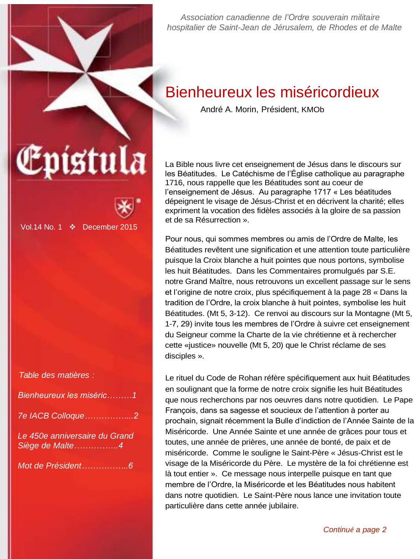*Association canadienne de l'Ordre souverain militaire hospitalier de Saint-Jean de Jérusalem, de Rhodes et de Malte*

#### Bienheureux les miséricordieux

André A. Morin, Président, KMOb

La Bible nous livre cet enseignement de Jésus dans le discours sur les Béatitudes. Le Catéchisme de l'Église catholique au paragraphe 1716, nous rappelle que les Béatitudes sont au coeur de l'enseignement de Jésus. Au paragraphe 1717 « Les béatitudes dépeignent le visage de Jésus-Christ et en décrivent la charité; elles expriment la vocation des fidèles associés à la gloire de sa passion et de sa Résurrection ».

Pour nous, qui sommes membres ou amis de l'Ordre de Malte, les Béatitudes revêtent une signification et une attention toute particulière puisque la Croix blanche a huit pointes que nous portons, symbolise les huit Béatitudes. Dans les Commentaires promulgués par S.E. notre Grand Maître, nous retrouvons un excellent passage sur le sens et l'origine de notre croix, plus spécifiquement à la page 28 « Dans la tradition de l'Ordre, la croix blanche à huit pointes, symbolise les huit Béatitudes. (Mt 5, 3-12). Ce renvoi au discours sur la Montagne (Mt 5, 1-7, 29) invite tous les membres de l'Ordre à suivre cet enseignement du Seigneur comme la Charte de la vie chrétienne et à rechercher cette «justice» nouvelle (Mt 5, 20) que le Christ réclame de ses disciples ».

Le rituel du Code de Rohan réfère spécifiquement aux huit Béatitudes en soulignant que la forme de notre croix signifie les huit Béatitudes que nous recherchons par nos oeuvres dans notre quotidien. Le Pape François, dans sa sagesse et soucieux de l'attention à porter au prochain, signait récemment la Bulle d'indiction de l'Année Sainte de la Miséricorde. Une Année Sainte et une année de grâces pour tous et toutes, une année de prières, une année de bonté, de paix et de miséricorde. Comme le souligne le Saint-Père « Jésus-Christ est le visage de la Miséricorde du Père. Le mystère de la foi chrétienne est là tout entier ». Ce message nous interpelle puisque en tant que membre de l'Ordre, la Miséricorde et les Béatitudes nous habitent dans notre quotidien. Le Saint-Père nous lance une invitation toute particulière dans cette année jubilaire.

| Epístula |  |
|----------|--|



Vol.14 No. 1 December 2015

| Table des matières : |  |
|----------------------|--|
|                      |  |

| Bienheureux les miséric1 |
|--------------------------|
|                          |

| 7e IACB Colloque2 |  |  |  |  |  |  |
|-------------------|--|--|--|--|--|--|
|                   |  |  |  |  |  |  |

*Le 450e anniversaire du Grand Siège de Malte…………….4*

*Mot de Président……………..6*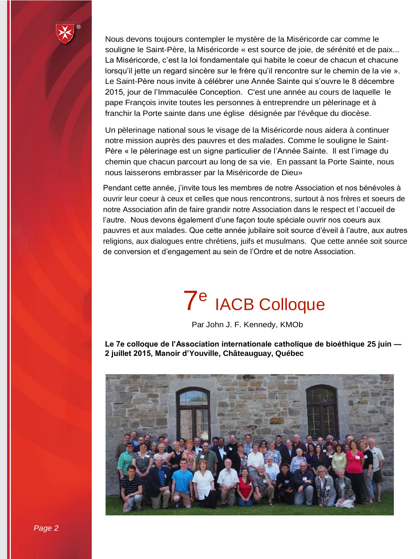

Nous devons toujours contempler le mystère de la Miséricorde car comme le souligne le Saint-Père, la Miséricorde « est source de joie, de sérénité et de paix... La Miséricorde, c'est la loi fondamentale qui habite le coeur de chacun et chacune lorsqu'il jette un regard sincère sur le frère qu'il rencontre sur le chemin de la vie ». Le Saint-Père nous invite à célébrer une Année Sainte qui s'ouvre le 8 décembre 2015, jour de l'Immaculée Conception. C'est une année au cours de laquelle le pape François invite toutes les personnes à entreprendre un pèlerinage et à franchir la Porte sainte dans une église désignée par l'évêque du diocèse.

Un pèlerinage national sous le visage de la Miséricorde nous aidera à continuer notre mission auprès des pauvres et des malades. Comme le souligne le Saint-Père « le pèlerinage est un signe particulier de l'Année Sainte. Il est l'image du chemin que chacun parcourt au long de sa vie. En passant la Porte Sainte, nous nous laisserons embrasser par la Miséricorde de Dieu»

Pendant cette année, j'invite tous les membres de notre Association et nos bénévoles à ouvrir leur coeur à ceux et celles que nous rencontrons, surtout à nos frères et soeurs de notre Association afin de faire grandir notre Association dans le respect et l'accueil de l'autre. Nous devons également d'une façon toute spéciale ouvrir nos coeurs aux pauvres et aux malades. Que cette année jubilaire soit source d'éveil à l'autre, aux autres religions, aux dialogues entre chrétiens, juifs et musulmans. Que cette année soit source de conversion et d'engagement au sein de l'Ordre et de notre Association.

## 7 e IACB Colloque

Par John J. F. Kennedy, KMOb

**Le 7e colloque de l'Association internationale catholique de bioéthique 25 juin — 2 juillet 2015, Manoir d'Youville, Châteauguay, Québec**

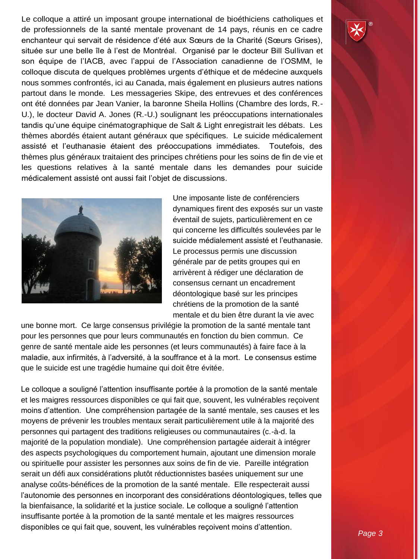Le colloque a attiré un imposant groupe international de bioéthiciens catholiques et de professionnels de la santé mentale provenant de 14 pays, réunis en ce cadre enchanteur qui servait de résidence d'été aux Sœurs de la Charité (Sœurs Grises), située sur une belle île à l'est de Montréal. Organisé par le docteur Bill Sullivan et son équipe de l'IACB, avec l'appui de l'Association canadienne de l'OSMM, le colloque discuta de quelques problèmes urgents d'éthique et de médecine auxquels nous sommes confrontés, ici au Canada, mais également en plusieurs autres nations partout dans le monde. Les messageries Skipe, des entrevues et des conférences ont été données par Jean Vanier, la baronne Sheila Hollins (Chambre des lords, R.- U.), le docteur David A. Jones (R.-U.) soulignant les préoccupations internationales tandis qu'une équipe cinématographique de Salt & Light enregistrait les débats. Les thèmes abordés étaient autant généraux que spécifiques. Le suicide médicalement assisté et l'euthanasie étaient des préoccupations immédiates. Toutefois, des thèmes plus généraux traitaient des principes chrétiens pour les soins de fin de vie et les questions relatives à la santé mentale dans les demandes pour suicide médicalement assisté ont aussi fait l'objet de discussions.



Une imposante liste de conférenciers dynamiques firent des exposés sur un vaste éventail de sujets, particulièrement en ce qui concerne les difficultés soulevées par le suicide médialement assisté et l'euthanasie. Le processus permis une discussion générale par de petits groupes qui en arrivèrent à rédiger une déclaration de consensus cernant un encadrement déontologique basé sur les principes chrétiens de la promotion de la santé mentale et du bien être durant la vie avec

une bonne mort. Ce large consensus privilégie la promotion de la santé mentale tant pour les personnes que pour leurs communautés en fonction du bien commun. Ce genre de santé mentale aide les personnes (et leurs communautés) à faire face à la maladie, aux infirmités, à l'adversité, à la souffrance et à la mort. Le consensus estime que le suicide est une tragédie humaine qui doit être évitée.

Le colloque a souligné l'attention insuffisante portée à la promotion de la santé mentale et les maigres ressources disponibles ce qui fait que, souvent, les vulnérables reçoivent moins d'attention. Une compréhension partagée de la santé mentale, ses causes et les moyens de prévenir les troubles mentaux serait particulièrement utile à la majorité des personnes qui partagent des traditions religieuses ou communautaires (c.-à-d. la majorité de la population mondiale). Une compréhension partagée aiderait à intégrer des aspects psychologiques du comportement humain, ajoutant une dimension morale ou spirituelle pour assister les personnes aux soins de fin de vie. Pareille intégration serait un défi aux considérations plutôt réductionnistes basées uniquement sur une analyse coûts-bénéfices de la promotion de la santé mentale. Elle respecterait aussi l'autonomie des personnes en incorporant des considérations déontologiques, telles que la bienfaisance, la solidarité et la justice sociale. Le colloque a souligné l'attention insuffisante portée à la promotion de la santé mentale et les maigres ressources disponibles ce qui fait que, souvent, les vulnérables reçoivent moins d'attention.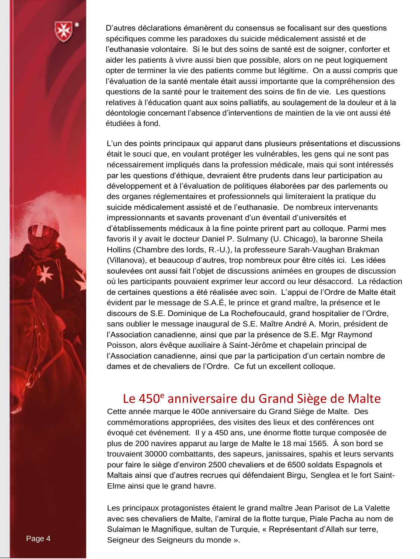

D'autres déclarations émanèrent du consensus se focalisant sur des questions spécifiques comme les paradoxes du suicide médicalement assisté et de l'euthanasie volontaire. Si le but des soins de santé est de soigner, conforter et aider les patients à vivre aussi bien que possible, alors on ne peut logiquement opter de terminer la vie des patients comme but légitime. On a aussi compris que l'évaluation de la santé mentale était aussi importante que la compréhension des questions de la santé pour le traitement des soins de fin de vie. Les questions relatives à l'éducation quant aux soins palliatifs, au soulagement de la douleur et à la déontologie concernant l'absence d'interventions de maintien de la vie ont aussi été étudiées à fond.

L'un des points principaux qui apparut dans plusieurs présentations et discussions était le souci que, en voulant protéger les vulnérables, les gens qui ne sont pas nécessairement impliqués dans la profession médicale, mais qui sont intéressés par les questions d'éthique, devraient être prudents dans leur participation au développement et à l'évaluation de politiques élaborées par des parlements ou des organes réglementaires et professionnels qui limiteraient la pratique du suicide médicalement assisté et de l'euthanasie. De nombreux intervenants impressionnants et savants provenant d'un éventail d'universités et d'établissements médicaux à la fine pointe prirent part au colloque. Parmi mes favoris il y avait le docteur Daniel P. Sulmany (U. Chicago), la baronne Sheila Hollins (Chambre des lords, R.-U.), la professeure Sarah-Vaughan Brakman (Villanova), et beaucoup d'autres, trop nombreux pour être cités ici. Les idées soulevées ont aussi fait l'objet de discussions animées en groupes de discussion où les participants pouvaient exprimer leur accord ou leur désaccord. La rédaction de certaines questions a été réalisée avec soin. L'appui de l'Ordre de Malte était évident par le message de S.A.É, le prince et grand maître, la présence et le discours de S.E. Dominique de La Rochefoucauld, grand hospitalier de l'Ordre, sans oublier le message inaugural de S.E. Maître André A. Morin, président de l'Association canadienne, ainsi que par la présence de S.E. Mgr Raymond Poisson, alors évêque auxiliaire à Saint-Jérôme et chapelain principal de l'Association canadienne, ainsi que par la participation d'un certain nombre de dames et de chevaliers de l'Ordre. Ce fut un excellent colloque.

#### Le 450<sup>e</sup> anniversaire du Grand Siège de Malte

Cette année marque le 400e anniversaire du Grand Siège de Malte. Des commémorations appropriées, des visites des lieux et des conférences ont évoqué cet événement. Il y a 450 ans, une énorme flotte turque composée de plus de 200 navires apparut au large de Malte le 18 mai 1565. À son bord se trouvaient 30000 combattants, des sapeurs, janissaires, spahis et leurs servants pour faire le siège d'environ 2500 chevaliers et de 6500 soldats Espagnols et Maltais ainsi que d'autres recrues qui défendaient Birgu, Senglea et le fort Saint-Elme ainsi que le grand havre.

Les principaux protagonistes étaient le grand maître Jean Parisot de La Valette avec ses chevaliers de Malte, l'amiral de la flotte turque, Piale Pacha au nom de Sulaiman le Magnifique, sultan de Turquie, « Représentant d'Allah sur terre, Page 4 Seigneur des Seigneurs du monde ».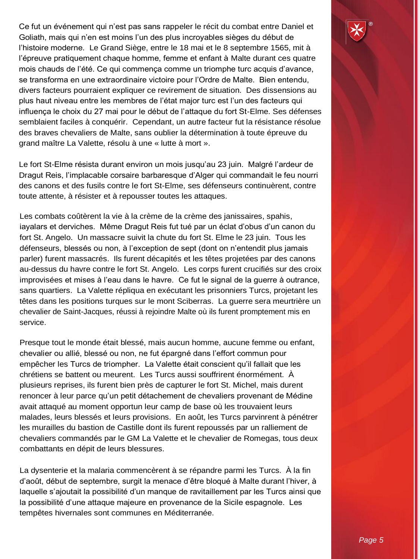Ce fut un événement qui n'est pas sans rappeler le récit du combat entre Daniel et Goliath, mais qui n'en est moins l'un des plus incroyables sièges du début de l'histoire moderne. Le Grand Siège, entre le 18 mai et le 8 septembre 1565, mit à l'épreuve pratiquement chaque homme, femme et enfant à Malte durant ces quatre mois chauds de l'été. Ce qui commença comme un triomphe turc acquis d'avance, se transforma en une extraordinaire victoire pour l'Ordre de Malte. Bien entendu, divers facteurs pourraient expliquer ce revirement de situation. Des dissensions au plus haut niveau entre les membres de l'état major turc est l'un des facteurs qui influença le choix du 27 mai pour le début de l'attaque du fort St-Elme. Ses défenses semblaient faciles à conquérir. Cependant, un autre facteur fut la résistance résolue des braves chevaliers de Malte, sans oublier la détermination à toute épreuve du grand maître La Valette, résolu à une « lutte à mort ».

Le fort St-Elme résista durant environ un mois jusqu'au 23 juin. Malgré l'ardeur de Dragut Reis, l'implacable corsaire barbaresque d'Alger qui commandait le feu nourri des canons et des fusils contre le fort St-Elme, ses défenseurs continuèrent, contre toute attente, à résister et à repousser toutes les attaques.

Les combats coûtèrent la vie à la crème de la crème des janissaires, spahis, iayalars et derviches. Même Dragut Reis fut tué par un éclat d'obus d'un canon du fort St. Angelo. Un massacre suivit la chute du fort St. Elme le 23 juin. Tous les défenseurs, blessés ou non, à l'exception de sept (dont on n'entendit plus jamais parler) furent massacrés. Ils furent décapités et les têtes projetées par des canons au-dessus du havre contre le fort St. Angelo. Les corps furent crucifiés sur des croix improvisées et mises à l'eau dans le havre. Ce fut le signal de la guerre à outrance, sans quartiers. La Valette répliqua en exécutant les prisonniers Turcs, projetant les têtes dans les positions turques sur le mont Sciberras. La guerre sera meurtrière un chevalier de Saint-Jacques, réussi à rejoindre Malte où ils furent promptement mis en service.

Presque tout le monde était blessé, mais aucun homme, aucune femme ou enfant, chevalier ou allié, blessé ou non, ne fut épargné dans l'effort commun pour empêcher les Turcs de triompher. La Valette était conscient qu'il fallait que les chrétiens se battent ou meurent. Les Turcs aussi souffrirent énormément. À plusieurs reprises, ils furent bien près de capturer le fort St. Michel, mais durent renoncer à leur parce qu'un petit détachement de chevaliers provenant de Médine avait attaqué au moment opportun leur camp de base où les trouvaient leurs malades, leurs blessés et leurs provisions. En août, les Turcs parvinrent à pénétrer les murailles du bastion de Castille dont ils furent repoussés par un ralliement de chevaliers commandés par le GM La Valette et le chevalier de Romegas, tous deux combattants en dépit de leurs blessures.

La dysenterie et la malaria commencèrent à se répandre parmi les Turcs. À la fin d'août, début de septembre, surgit la menace d'être bloqué à Malte durant l'hiver, à laquelle s'ajoutait la possibilité d'un manque de ravitaillement par les Turcs ainsi que la possibilité d'une attaque majeure en provenance de la Sicile espagnole. Les tempêtes hivernales sont communes en Méditerranée.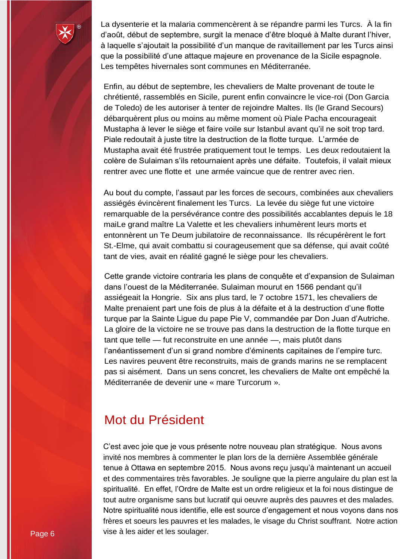

La dysenterie et la malaria commencèrent à se répandre parmi les Turcs. À la fin d'août, début de septembre, surgit la menace d'être bloqué à Malte durant l'hiver, à laquelle s'ajoutait la possibilité d'un manque de ravitaillement par les Turcs ainsi que la possibilité d'une attaque majeure en provenance de la Sicile espagnole. Les tempêtes hivernales sont communes en Méditerranée.

Enfin, au début de septembre, les chevaliers de Malte provenant de toute le chrétienté, rassemblés en Sicile, purent enfin convaincre le vice-roi (Don Garcia de Toledo) de les autoriser à tenter de rejoindre Maltes. Ils (le Grand Secours) débarquèrent plus ou moins au même moment où Piale Pacha encourageait Mustapha à lever le siège et faire voile sur Istanbul avant qu'il ne soit trop tard. Piale redoutait à juste titre la destruction de la flotte turque. L'armée de Mustapha avait été frustrée pratiquement tout le temps. Les deux redoutaient la colère de Sulaiman s'ils retournaient après une défaite. Toutefois, il valait mieux rentrer avec une flotte et une armée vaincue que de rentrer avec rien.

Au bout du compte, l'assaut par les forces de secours, combinées aux chevaliers assiégés évincèrent finalement les Turcs. La levée du siège fut une victoire remarquable de la persévérance contre des possibilités accablantes depuis le 18 maiLe grand maître La Valette et les chevaliers inhumèrent leurs morts et entonnèrent un Te Deum jubilatoire de reconnaissance. Ils récupérèrent le fort St.-Elme, qui avait combattu si courageusement que sa défense, qui avait coûté tant de vies, avait en réalité gagné le siège pour les chevaliers.

Cette grande victoire contraria les plans de conquête et d'expansion de Sulaiman dans l'ouest de la Méditerranée. Sulaiman mourut en 1566 pendant qu'il assiégeait la Hongrie. Six ans plus tard, le 7 octobre 1571, les chevaliers de Malte prenaient part une fois de plus à la défaite et à la destruction d'une flotte turque par la Sainte Ligue du pape Pie V, commandée par Don Juan d'Autriche. La gloire de la victoire ne se trouve pas dans la destruction de la flotte turque en tant que telle — fut reconstruite en une année —, mais plutôt dans l'anéantissement d'un si grand nombre d'éminents capitaines de l'empire turc. Les navires peuvent être reconstruits, mais de grands marins ne se remplacent pas si aisément. Dans un sens concret, les chevaliers de Malte ont empêché la Méditerranée de devenir une « mare Turcorum ».

#### Mot du Président

C'est avec joie que je vous présente notre nouveau plan stratégique. Nous avons invité nos membres à commenter le plan lors de la dernière Assemblée générale tenue à Ottawa en septembre 2015. Nous avons reçu jusqu'à maintenant un accueil et des commentaires très favorables. Je souligne que la pierre angulaire du plan est la spiritualité. En effet, l'Ordre de Malte est un ordre religieux et la foi nous distingue de tout autre organisme sans but lucratif qui oeuvre auprès des pauvres et des malades. Notre spiritualité nous identifie, elle est source d'engagement et nous voyons dans nos frères et soeurs les pauvres et les malades, le visage du Christ souffrant. Notre action Page 6 vise à les aider et les soulager.